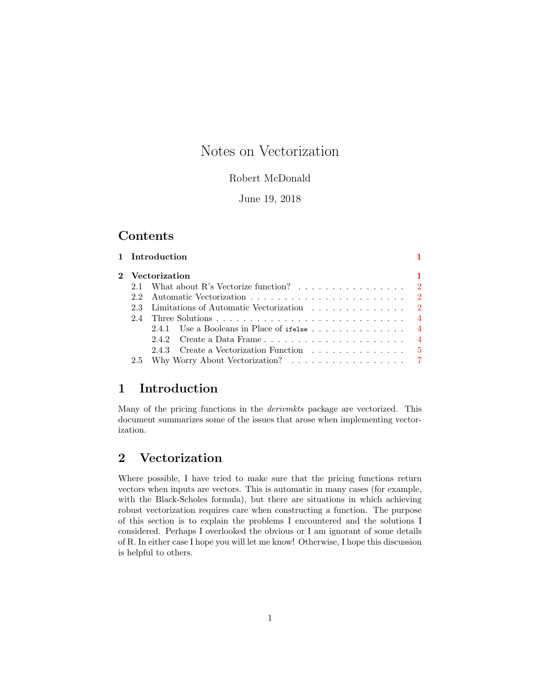# Notes on Vectorization

#### Robert McDonald

### June 19, 2018

### Contents

|                 | 1 Introduction                                                          |  |
|-----------------|-------------------------------------------------------------------------|--|
| 2 Vectorization |                                                                         |  |
|                 | 2.1 What about R's Vectorize function? 2                                |  |
|                 |                                                                         |  |
|                 | 2.3 Limitations of Automatic Vectorization 2                            |  |
|                 |                                                                         |  |
|                 | 2.4.1 Use a Booleans in Place of ifelse $\ldots \ldots \ldots \ldots$ 4 |  |
|                 |                                                                         |  |
|                 | 2.4.3 Create a Vectorization Function 5                                 |  |
|                 |                                                                         |  |

### <span id="page-0-0"></span>1 Introduction

Many of the pricing functions in the derivmkts package are vectorized. This document summarizes some of the issues that arose when implementing vectorization.

## <span id="page-0-1"></span>2 Vectorization

Where possible, I have tried to make sure that the pricing functions return vectors when inputs are vectors. This is automatic in many cases (for example, with the Black-Scholes formula), but there are situations in which achieving robust vectorization requires care when constructing a function. The purpose of this section is to explain the problems I encountered and the solutions I considered. Perhaps I overlooked the obvious or I am ignorant of some details of R. In either case I hope you will let me know! Otherwise, I hope this discussion is helpful to others.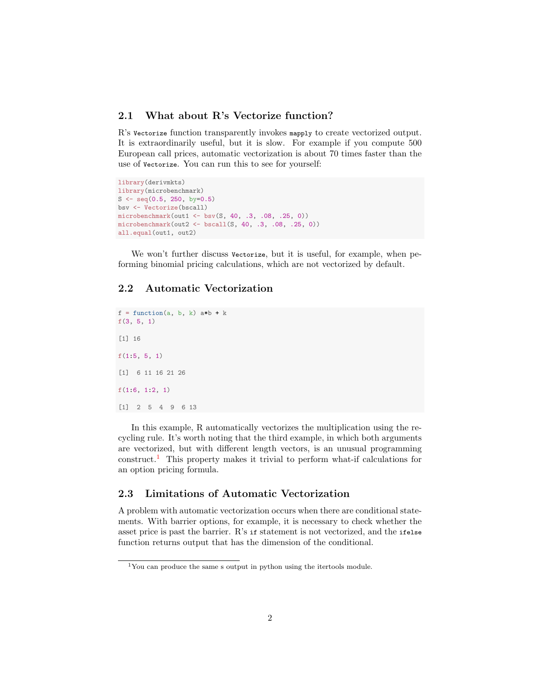#### <span id="page-1-0"></span>2.1 What about R's Vectorize function?

R's Vectorize function transparently invokes mapply to create vectorized output. It is extraordinarily useful, but it is slow. For example if you compute 500 European call prices, automatic vectorization is about 70 times faster than the use of Vectorize. You can run this to see for yourself:

```
library(derivmkts)
library(microbenchmark)
S <- seq(0.5, 250, by=0.5)
bsv <- Vectorize(bscall)
microbenchmark(out1 < - bsv(S, 40, .3, .08, .25, 0))microbenchmark(out2 <- bscall(S, 40, .3, .08, .25, 0))
all.equal(out1, out2)
```
We won't further discuss vectorize, but it is useful, for example, when peforming binomial pricing calculations, which are not vectorized by default.

#### <span id="page-1-1"></span>2.2 Automatic Vectorization

```
f = function(a, b, k) a*b + k
f(3, 5, 1)
[1] 16
f(1:5, 5, 1)[1] 6 11 16 21 26
f(1:6, 1:2, 1)
[1] 2 5 4 9 6 13
```
In this example, R automatically vectorizes the multiplication using the recycling rule. It's worth noting that the third example, in which both arguments are vectorized, but with different length vectors, is an unusual programming construct.<sup>[1](#page-1-3)</sup> This property makes it trivial to perform what-if calculations for an option pricing formula.

#### <span id="page-1-2"></span>2.3 Limitations of Automatic Vectorization

A problem with automatic vectorization occurs when there are conditional statements. With barrier options, for example, it is necessary to check whether the asset price is past the barrier. R's if statement is not vectorized, and the ifelse function returns output that has the dimension of the conditional.

<span id="page-1-3"></span><sup>1</sup>You can produce the same s output in python using the itertools module.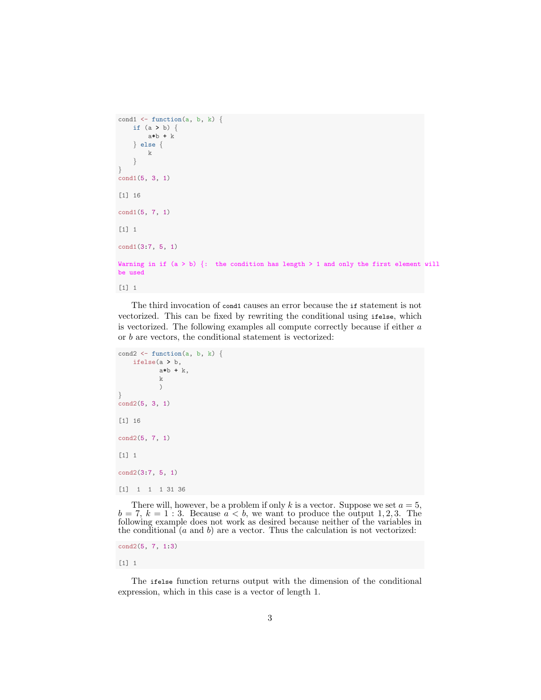```
cond1 \leftarrow function(a, b, k) {
    if (a > b) {
        a*b + k
    } else {
        k
    }
}
cond1(5, 3, 1)
[1] 16
cond1(5, 7, 1)
[1] 1
cond1(3:7, 5, 1)
Warning in if (a > b) {: the condition has length > 1 and only the first element will
be used
[1] 1
```
The third invocation of cond1 causes an error because the if statement is not vectorized. This can be fixed by rewriting the conditional using ifelse, which is vectorized. The following examples all compute correctly because if either a or b are vectors, the conditional statement is vectorized:

```
cond2 \leftarrow function(a, b, k) {
    ifelse(a > b,
            a*b + k,
            k
            )
}
cond2(5, 3, 1)
[1] 16
cond2(5, 7, 1)
[1] 1
cond2(3:7, 5, 1)
[1] 1 1 1 31 36
```
There will, however, be a problem if only k is a vector. Suppose we set  $a = 5$ ,  $b = 7, k = 1 : 3.$  Because  $a < b$ , we want to produce the output 1, 2, 3. The following example does not work as desired because neither of the variables in the conditional  $(a \text{ and } b)$  are a vector. Thus the calculation is not vectorized:

cond2(5, 7, 1:3)

[1] 1

The ifelse function returns output with the dimension of the conditional expression, which in this case is a vector of length 1.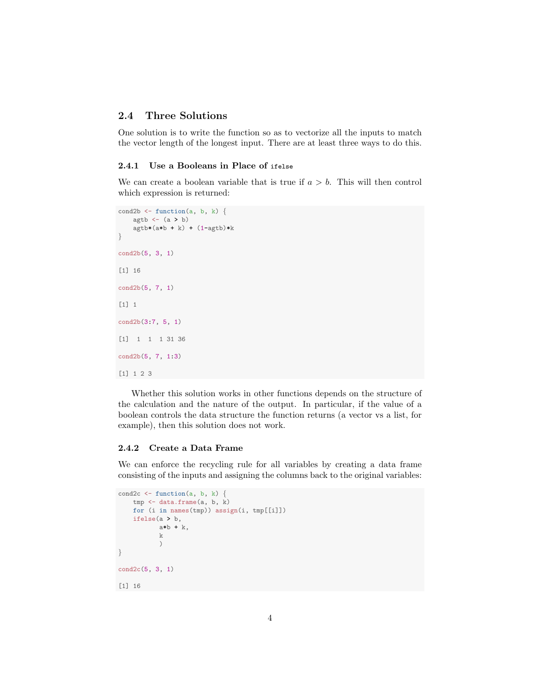#### <span id="page-3-0"></span>2.4 Three Solutions

One solution is to write the function so as to vectorize all the inputs to match the vector length of the longest input. There are at least three ways to do this.

#### <span id="page-3-1"></span>2.4.1 Use a Booleans in Place of ifelse

We can create a boolean variable that is true if  $a > b$ . This will then control which expression is returned:

```
cond2b \leftarrow function(a, b, k) {
    agtb \leftarrow (a > b)
    agtb*(a*b + k) + (1-agtb)*k}
cond2b(5, 3, 1)
[1] 16
cond2b(5, 7, 1)
[1] 1
cond2b(3:7, 5, 1)
[1] 1 1 1 31 36
cond2b(5, 7, 1:3)
[1] 1 2 3
```
Whether this solution works in other functions depends on the structure of the calculation and the nature of the output. In particular, if the value of a boolean controls the data structure the function returns (a vector vs a list, for example), then this solution does not work.

#### <span id="page-3-2"></span>2.4.2 Create a Data Frame

We can enforce the recycling rule for all variables by creating a data frame consisting of the inputs and assigning the columns back to the original variables:

```
cond2c \leftarrow function(a, b, k) {
    tmp <- data.frame(a, b, k)
    for (i in names(tmp)) assign(i, tmp[[i]])
    ifelse(a > b,
            a*b + k,
            \mathbf{k})
}
cond2c(5, 3, 1)
[1] 16
```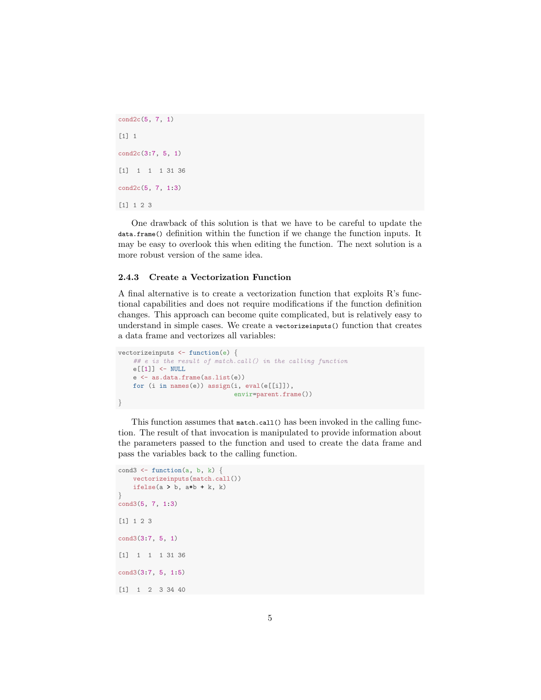cond2c(5, 7, 1) [1] 1 cond2c(3:7, 5, 1) [1] 1 1 1 31 36 cond2c(5, 7, 1:3) [1] 1 2 3

One drawback of this solution is that we have to be careful to update the data.frame() definition within the function if we change the function inputs. It may be easy to overlook this when editing the function. The next solution is a more robust version of the same idea.

#### <span id="page-4-0"></span>2.4.3 Create a Vectorization Function

A final alternative is to create a vectorization function that exploits R's functional capabilities and does not require modifications if the function definition changes. This approach can become quite complicated, but is relatively easy to understand in simple cases. We create a vectorizeinputs() function that creates a data frame and vectorizes all variables:

```
vectorizeinputs <- function(e) {
    ## e is the result of match.call() in the calling function
   e[[1]] <- NULL
    e <- as.data.frame(as.list(e))
    for (i in names(e)) assign(i, eval(e[[i]]),
                               envir=parent.frame())
}
```
This function assumes that match.call() has been invoked in the calling function. The result of that invocation is manipulated to provide information about the parameters passed to the function and used to create the data frame and pass the variables back to the calling function.

```
cond3 \leftarrow function(a, b, k) {
    vectorizeinputs(match.call())
    ifelse(a > b, a * b + k, k)
}
cond3(5, 7, 1:3)
[1] 1 2 3
cond3(3:7, 5, 1)
[1] 1 1 1 31 36
cond3(3:7, 5, 1:5)
[1] 1 2 3 34 40
```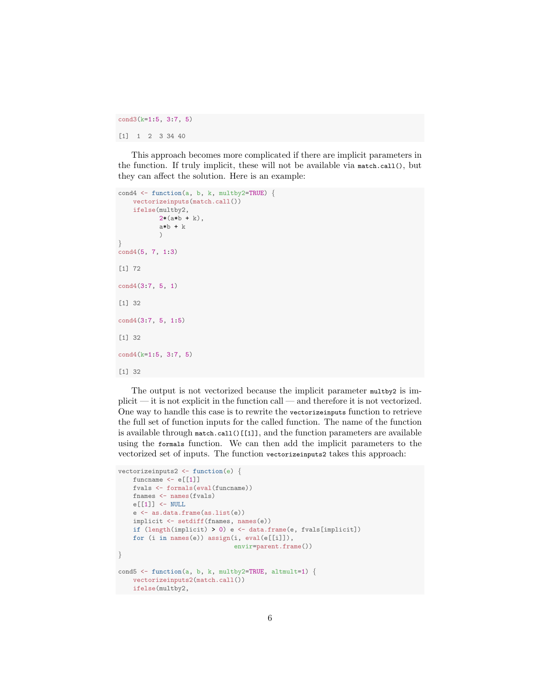cond3(k=1:5, 3:7, 5)

[1] 1 2 3 34 40

This approach becomes more complicated if there are implicit parameters in the function. If truly implicit, these will not be available via match.call(), but they can affect the solution. Here is an example:

```
cond4 \leftarrow function(a, b, k, multby2=TRUE) {
    vectorizeinputs(match.call())
    ifelse(multby2,
           2*(a*b + k),a*b + k\lambda}
cond4(5, 7, 1:3)
[1] 72
cond4(3:7, 5, 1)
[1] 32
cond4(3:7, 5, 1:5)
[1] 32
cond4(k=1:5, 3:7, 5)
[1] 32
```
The output is not vectorized because the implicit parameter multby2 is implicit — it is not explicit in the function call — and therefore it is not vectorized. One way to handle this case is to rewrite the vectorizeinputs function to retrieve the full set of function inputs for the called function. The name of the function is available through match.call()[[1]], and the function parameters are available using the formals function. We can then add the implicit parameters to the vectorized set of inputs. The function vectorizeinputs2 takes this approach:

```
vectorizeinputs2 <- function(e) {
   funcname \leftarrow e[[1]]fvals <- formals(eval(funcname))
   fnames <- names(fvals)
   e[[1]] <- NULL
    e <- as.data.frame(as.list(e))
   implicit <- setdiff(fnames, names(e))
    if (length(implicit) > 0) e <- data.frame(e, fvals[implicit])
    for (i in names(e)) assign(i, eval(e[[i]]),
                               envir=parent.frame())
}
cond5 <- function(a, b, k, multby2=TRUE, altmult=1) {
   vectorizeinputs2(match.call())
   ifelse(multby2,
```